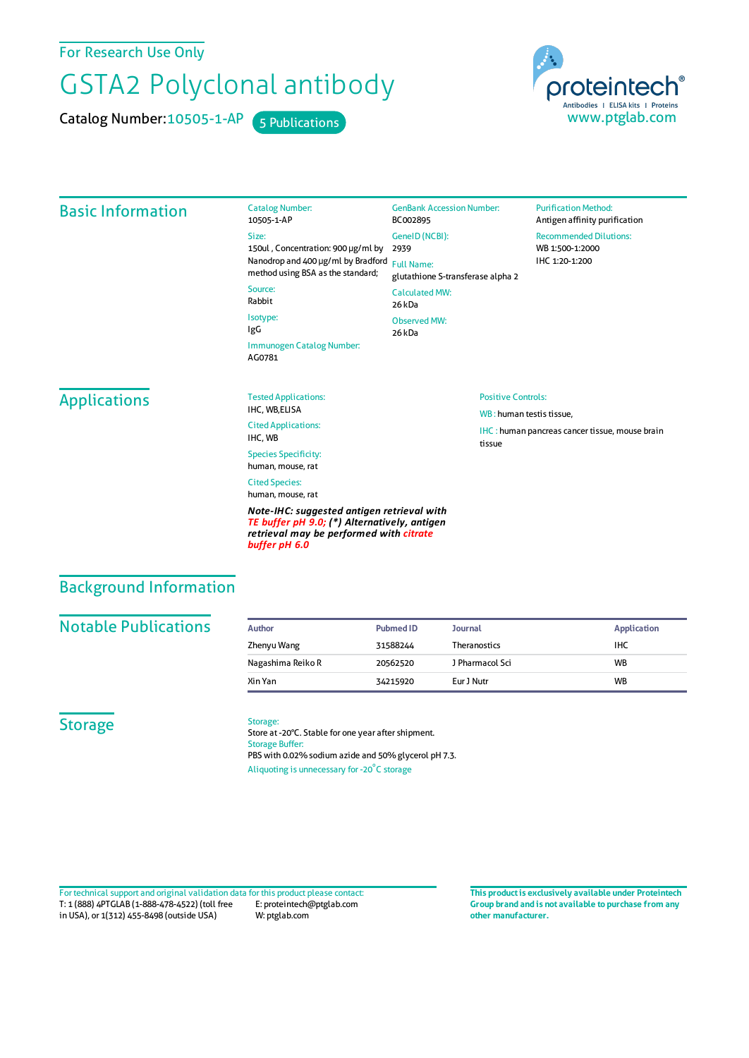For Research Use Only

# GSTA2 Polyclonal antibody

Catalog Number: 10505-1-AP 5 Publications



#### Basic Information Catalog Number: 10505-1-AP Size: 150ul , Concentration: 900 μg/ml by Nanodrop and 400 μg/ml by Bradford Full Name: method using BSA as the standard; Source: Rabbit Isotype: IgG Immunogen Catalog Number: AG0781 GenBank Accession Number: BC002895 GeneID(NCBI): 2939 glutathione S-transferase alpha 2 CalculatedMW: 26 kDa Observed MW: 26 kDa **Purification Method:** Antigen affinity purification Recommended Dilutions: WB 1:500-1:2000 IHC 1:20-1:200 **Applications** Tested Applications: IHC, WB,ELISA Cited Applications: IHC, WB Species Specificity: human, mouse, rat Cited Species: human, mouse, rat *Note-IHC: suggested antigen retrieval with TE buffer pH 9.0; (\*) Alternatively, antigen* Positive Controls: WB : human testis tissue, IHC : human pancreas cancer tissue, mouse brain tissue

### Background Information

#### **Notable Publications**

| Author            | Pubmed ID | <b>Journal</b>      | <b>Application</b> |
|-------------------|-----------|---------------------|--------------------|
| Zhenyu Wang       | 31588244  | <b>Theranostics</b> | ihc                |
| Nagashima Reiko R | 20562520  | J Pharmacol Sci     | <b>WB</b>          |
| Xin Yan           | 34215920  | Eur J Nutr          | <b>WB</b>          |

#### **Storage**

#### Storage:

*buffer pH 6.0*

Store at -20°C. Stable for one year after shipment. Storage Buffer: PBS with 0.02% sodium azide and 50% glycerol pH 7.3. Aliquoting is unnecessary for -20<sup>°</sup>C storage

*retrieval may be performed with citrate*

T: 1 (888) 4PTGLAB (1-888-478-4522) (toll free in USA), or 1(312) 455-8498 (outside USA) E: proteintech@ptglab.com W: ptglab.com Fortechnical support and original validation data forthis product please contact: **This productis exclusively available under Proteintech**

**Group brand and is not available to purchase from any other manufacturer.**